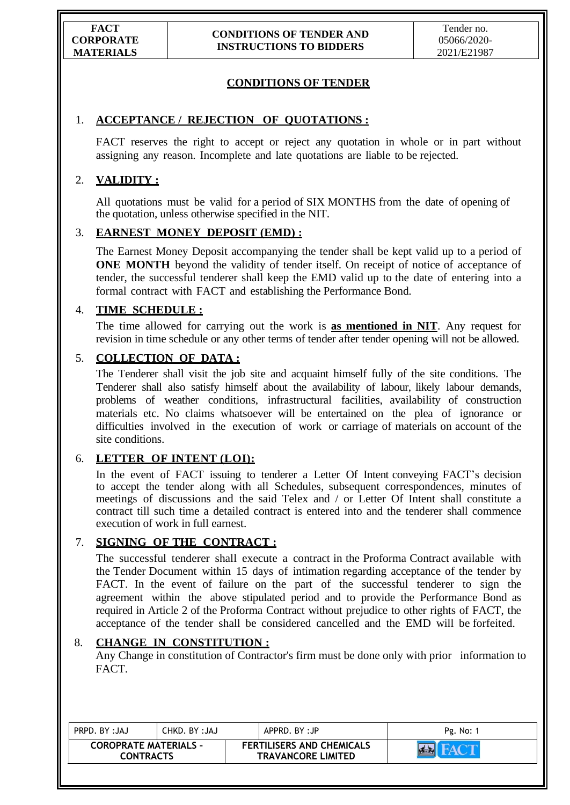# **CONDITIONS OF TENDER**

## 1. **ACCEPTANCE / REJECTION OF QUOTATIONS :**

FACT reserves the right to accept or reject any quotation in whole or in part without assigning any reason. Incomplete and late quotations are liable to be rejected.

# 2. **VALIDITY :**

All quotations must be valid for a period of SIX MONTHS from the date of opening of the quotation, unless otherwise specified in the NIT.

## 3. **EARNEST MONEY DEPOSIT (EMD) :**

The Earnest Money Deposit accompanying the tender shall be kept valid up to a period of **ONE MONTH** beyond the validity of tender itself. On receipt of notice of acceptance of tender, the successful tenderer shall keep the EMD valid up to the date of entering into a formal contract with FACT and establishing the Performance Bond.

## 4. **TIME SCHEDULE :**

The time allowed for carrying out the work is **as mentioned in NIT**. Any request for revision in time schedule or any other terms of tender after tender opening will not be allowed.

## 5. **COLLECTION OF DATA :**

The Tenderer shall visit the job site and acquaint himself fully of the site conditions. The Tenderer shall also satisfy himself about the availability of labour, likely labour demands, problems of weather conditions, infrastructural facilities, availability of construction materials etc. No claims whatsoever will be entertained on the plea of ignorance or difficulties involved in the execution of work or carriage of materials on account of the site conditions.

### 6. **LETTER OF INTENT (LOI):**

In the event of FACT issuing to tenderer a Letter Of Intent conveying FACT"s decision to accept the tender along with all Schedules, subsequent correspondences, minutes of meetings of discussions and the said Telex and / or Letter Of Intent shall constitute a contract till such time a detailed contract is entered into and the tenderer shall commence execution of work in full earnest.

### 7. **SIGNING OF THE CONTRACT :**

The successful tenderer shall execute a contract in the Proforma Contract available with the Tender Document within 15 days of intimation regarding acceptance of the tender by FACT. In the event of failure on the part of the successful tenderer to sign the agreement within the above stipulated period and to provide the Performance Bond as required in Article 2 of the Proforma Contract without prejudice to other rights of FACT, the acceptance of the tender shall be considered cancelled and the EMD will be forfeited.

### 8. **CHANGE IN CONSTITUTION :**

Any Change in constitution of Contractor's firm must be done only with prior information to FACT.

| PRPD. BY: JAJ                                    | CHKD. BY :JAJ |  | APPRD, BY:JP                                                  | Pg. No: |
|--------------------------------------------------|---------------|--|---------------------------------------------------------------|---------|
| <b>COROPRATE MATERIALS -</b><br><b>CONTRACTS</b> |               |  | <b>FERTILISERS AND CHEMICALS</b><br><b>TRAVANCORE LIMITED</b> |         |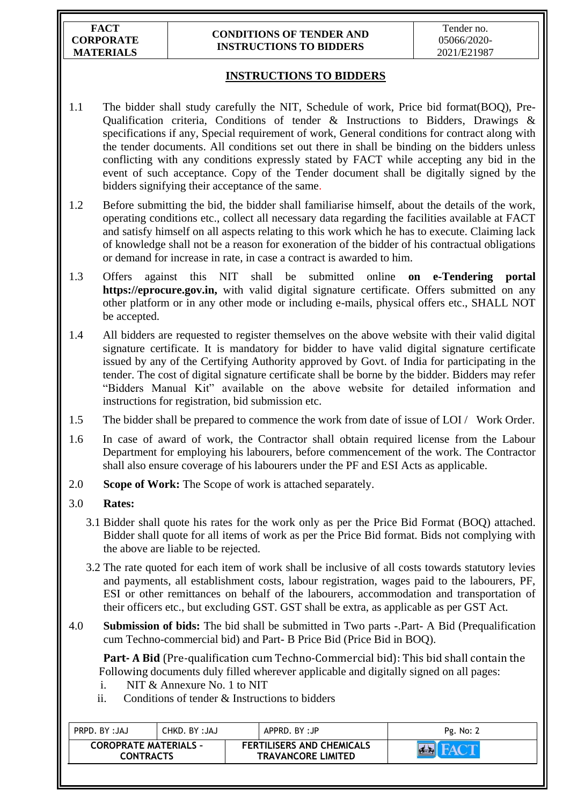**FACT CORPORATE MATERIALS**

#### **CONDITIONS OF TENDER AND INSTRUCTIONS TO BIDDERS**

# **INSTRUCTIONS TO BIDDERS**

- 1.1 The bidder shall study carefully the NIT, Schedule of work, Price bid format(BOQ), Pre-Qualification criteria, Conditions of tender & Instructions to Bidders, Drawings & specifications if any, Special requirement of work, General conditions for contract along with the tender documents. All conditions set out there in shall be binding on the bidders unless conflicting with any conditions expressly stated by FACT while accepting any bid in the event of such acceptance. Copy of the Tender document shall be digitally signed by the bidders signifying their acceptance of the same.
- 1.2 Before submitting the bid, the bidder shall familiarise himself, about the details of the work, operating conditions etc., collect all necessary data regarding the facilities available at FACT and satisfy himself on all aspects relating to this work which he has to execute. Claiming lack of knowledge shall not be a reason for exoneration of the bidder of his contractual obligations or demand for increase in rate, in case a contract is awarded to him.
- 1.3 Offers against this NIT shall be submitted online **on e-Tendering portal https://eprocure.gov.in,** with valid digital signature certificate. Offers submitted on any other platform or in any other mode or including e-mails, physical offers etc., SHALL NOT be accepted.
- 1.4 All bidders are requested to register themselves on the above website with their valid digital signature certificate. It is mandatory for bidder to have valid digital signature certificate issued by any of the Certifying Authority approved by Govt. of India for participating in the tender. The cost of digital signature certificate shall be borne by the bidder. Bidders may refer "Bidders Manual Kit" available on the above website for detailed information and instructions for registration, bid submission etc.
- 1.5 The bidder shall be prepared to commence the work from date of issue of LOI / Work Order.
- 1.6 In case of award of work, the Contractor shall obtain required license from the Labour Department for employing his labourers, before commencement of the work. The Contractor shall also ensure coverage of his labourers under the PF and ESI Acts as applicable.
- 2.0 **Scope of Work:** The Scope of work is attached separately.

# 3.0 **Rates:**

- 3.1 Bidder shall quote his rates for the work only as per the Price Bid Format (BOQ) attached. Bidder shall quote for all items of work as per the Price Bid format. Bids not complying with the above are liable to be rejected.
- 3.2 The rate quoted for each item of work shall be inclusive of all costs towards statutory levies and payments, all establishment costs, labour registration, wages paid to the labourers, PF, ESI or other remittances on behalf of the labourers, accommodation and transportation of their officers etc., but excluding GST. GST shall be extra, as applicable as per GST Act.
- 4.0 **Submission of bids:** The bid shall be submitted in Two parts -.Part- A Bid (Prequalification cum Techno-commercial bid) and Part- B Price Bid (Price Bid in BOQ).

 **Part- A Bid** (Pre-qualification cum Techno-Commercial bid): This bid shall contain the Following documents duly filled wherever applicable and digitally signed on all pages:

- i. NIT & Annexure No. 1 to NIT
- ii. Conditions of tender  $\&$  Instructions to bidders

| <b>COROPRATE MATERIALS -</b>                  | PRPD. BY: JAJ |  |
|-----------------------------------------------|---------------|--|
| <b>FERTILISERS AND CHEMICALS</b>              | CHKD. BY:JAJ  |  |
| <b>TRAVANCORE LIMITED</b><br><b>CONTRACTS</b> |               |  |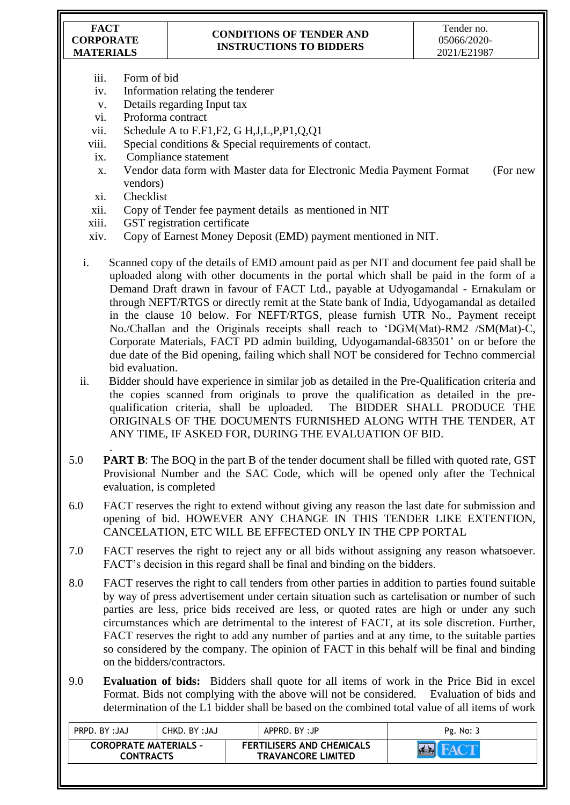**FACT CORPORATE MATERIALS**

## **CONDITIONS OF TENDER AND INSTRUCTIONS TO BIDDERS**

- iii. Form of bid
- iv. Information relating the tenderer
- v. Details regarding Input tax
- vi. Proforma contract
- vii. Schedule A to F.F1,F2, G H,J,L,P,P1,Q,Q1
- viii. Special conditions  $&$  Special requirements of contact.
- ix. Compliance statement
- x. Vendor data form with Master data for Electronic Media Payment Format (For new vendors)
- xi. Checklist

.

- xii. Copy of Tender fee payment details as mentioned in NIT
- xiii. GST registration certificate
- xiv. Copy of Earnest Money Deposit (EMD) payment mentioned in NIT.
- i. Scanned copy of the details of EMD amount paid as per NIT and document fee paid shall be uploaded along with other documents in the portal which shall be paid in the form of a Demand Draft drawn in favour of FACT Ltd., payable at Udyogamandal - Ernakulam or through NEFT/RTGS or directly remit at the State bank of India, Udyogamandal as detailed in the clause 10 below. For NEFT/RTGS, please furnish UTR No., Payment receipt No./Challan and the Originals receipts shall reach to "DGM(Mat)-RM2 /SM(Mat)-C, Corporate Materials, FACT PD admin building, Udyogamandal-683501" on or before the due date of the Bid opening, failing which shall NOT be considered for Techno commercial bid evaluation.

ii. Bidder should have experience in similar job as detailed in the Pre-Qualification criteria and the copies scanned from originals to prove the qualification as detailed in the prequalification criteria, shall be uploaded. The BIDDER SHALL PRODUCE THE ORIGINALS OF THE DOCUMENTS FURNISHED ALONG WITH THE TENDER, AT ANY TIME, IF ASKED FOR, DURING THE EVALUATION OF BID.

- 5.0 **PART B**: The BOQ in the part B of the tender document shall be filled with quoted rate, GST Provisional Number and the SAC Code, which will be opened only after the Technical evaluation, is completed
- 6.0 FACT reserves the right to extend without giving any reason the last date for submission and opening of bid. HOWEVER ANY CHANGE IN THIS TENDER LIKE EXTENTION, CANCELATION, ETC WILL BE EFFECTED ONLY IN THE CPP PORTAL
- 7.0 FACT reserves the right to reject any or all bids without assigning any reason whatsoever. FACT"s decision in this regard shall be final and binding on the bidders.
- 8.0 FACT reserves the right to call tenders from other parties in addition to parties found suitable by way of press advertisement under certain situation such as cartelisation or number of such parties are less, price bids received are less, or quoted rates are high or under any such circumstances which are detrimental to the interest of FACT, at its sole discretion. Further, FACT reserves the right to add any number of parties and at any time, to the suitable parties so considered by the company. The opinion of FACT in this behalf will be final and binding on the bidders/contractors.
- 9.0 **Evaluation of bids:** Bidders shall quote for all items of work in the Price Bid in excel Format. Bids not complying with the above will not be considered. Evaluation of bids and determination of the L1 bidder shall be based on the combined total value of all items of work

| PRPD. BY: JAJ                                    | CHKD. BY :JAJ | APPRD. BY:JP |                                                               | Pg. No: 3 |
|--------------------------------------------------|---------------|--------------|---------------------------------------------------------------|-----------|
| <b>COROPRATE MATERIALS -</b><br><b>CONTRACTS</b> |               |              | <b>FERTILISERS AND CHEMICALS</b><br><b>TRAVANCORE LIMITED</b> |           |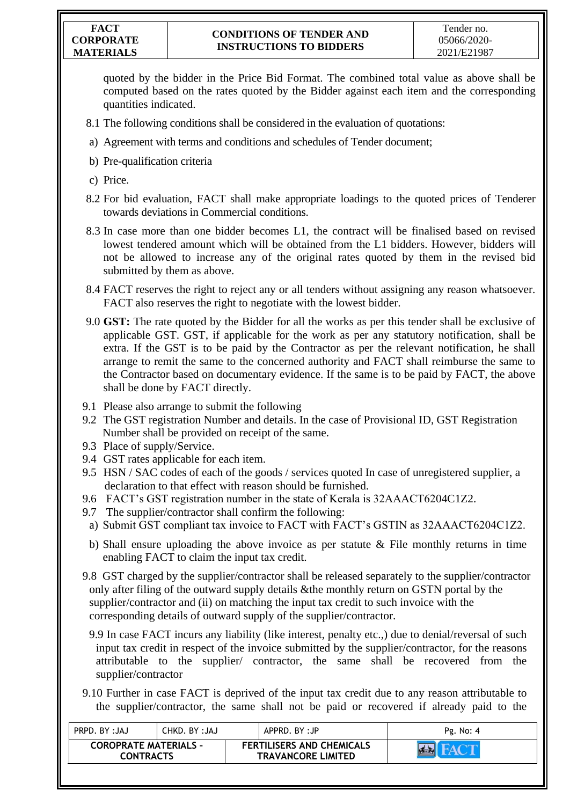quoted by the bidder in the Price Bid Format. The combined total value as above shall be computed based on the rates quoted by the Bidder against each item and the corresponding quantities indicated.

- 8.1 The following conditions shall be considered in the evaluation of quotations:
- a) Agreement with terms and conditions and schedules of Tender document;
- b) Pre-qualification criteria
- c) Price.
- 8.2 For bid evaluation, FACT shall make appropriate loadings to the quoted prices of Tenderer towards deviations in Commercial conditions.
- 8.3 In case more than one bidder becomes L1, the contract will be finalised based on revised lowest tendered amount which will be obtained from the L1 bidders. However, bidders will not be allowed to increase any of the original rates quoted by them in the revised bid submitted by them as above.
- 8.4 FACT reserves the right to reject any or all tenders without assigning any reason whatsoever. FACT also reserves the right to negotiate with the lowest bidder.
- 9.0 **GST:** The rate quoted by the Bidder for all the works as per this tender shall be exclusive of applicable GST. GST, if applicable for the work as per any statutory notification, shall be extra. If the GST is to be paid by the Contractor as per the relevant notification, he shall arrange to remit the same to the concerned authority and FACT shall reimburse the same to the Contractor based on documentary evidence. If the same is to be paid by FACT, the above shall be done by FACT directly.
- 9.1 Please also arrange to submit the following
- 9.2 The GST registration Number and details. In the case of Provisional ID, GST Registration Number shall be provided on receipt of the same.
- 9.3 Place of supply/Service.
- 9.4 GST rates applicable for each item.
- 9.5 HSN / SAC codes of each of the goods / services quoted In case of unregistered supplier, a declaration to that effect with reason should be furnished.
- 9.6 FACT"s GST registration number in the state of Kerala is 32AAACT6204C1Z2.
- 9.7 The supplier/contractor shall confirm the following:
- a) Submit GST compliant tax invoice to FACT with FACT"s GSTIN as 32AAACT6204C1Z2.
- b) Shall ensure uploading the above invoice as per statute  $\&$  File monthly returns in time enabling FACT to claim the input tax credit.
- 9.8 GST charged by the supplier/contractor shall be released separately to the supplier/contractor only after filing of the outward supply details &the monthly return on GSTN portal by the supplier/contractor and (ii) on matching the input tax credit to such invoice with the corresponding details of outward supply of the supplier/contractor.
	- 9.9 In case FACT incurs any liability (like interest, penalty etc.,) due to denial/reversal of such input tax credit in respect of the invoice submitted by the supplier/contractor, for the reasons attributable to the supplier/ contractor, the same shall be recovered from the supplier/contractor
- 9.10 Further in case FACT is deprived of the input tax credit due to any reason attributable to the supplier/contractor, the same shall not be paid or recovered if already paid to the

| PRPD. BY: JAJ                                    | CHKD. BY :JAJ | APPRD. BY:JP                                                  |  | Pg. No: 4 |
|--------------------------------------------------|---------------|---------------------------------------------------------------|--|-----------|
| <b>COROPRATE MATERIALS -</b><br><b>CONTRACTS</b> |               | <b>FERTILISERS AND CHEMICALS</b><br><b>TRAVANCORE LIMITED</b> |  |           |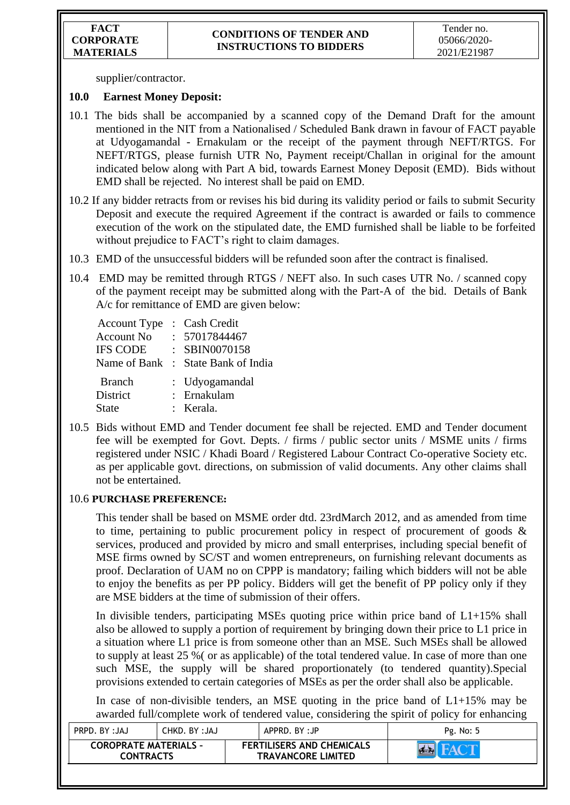supplier/contractor.

### **10.0 Earnest Money Deposit:**

- 10.1 The bids shall be accompanied by a scanned copy of the Demand Draft for the amount mentioned in the NIT from a Nationalised / Scheduled Bank drawn in favour of FACT payable at Udyogamandal - Ernakulam or the receipt of the payment through NEFT/RTGS. For NEFT/RTGS, please furnish UTR No, Payment receipt/Challan in original for the amount indicated below along with Part A bid, towards Earnest Money Deposit (EMD). Bids without EMD shall be rejected. No interest shall be paid on EMD.
- 10.2 If any bidder retracts from or revises his bid during its validity period or fails to submit Security Deposit and execute the required Agreement if the contract is awarded or fails to commence execution of the work on the stipulated date, the EMD furnished shall be liable to be forfeited without prejudice to FACT's right to claim damages.
- 10.3 EMD of the unsuccessful bidders will be refunded soon after the contract is finalised.
- 10.4 EMD may be remitted through RTGS / NEFT also. In such cases UTR No. / scanned copy of the payment receipt may be submitted along with the Part-A of the bid. Details of Bank A/c for remittance of EMD are given below:

| <b>Account Type</b><br><b>Account No</b><br><b>IFS CODE</b> | : Cash Credit<br>: 57017844467<br>: SBIN0070158<br>Name of Bank : State Bank of India |
|-------------------------------------------------------------|---------------------------------------------------------------------------------------|
| <b>Branch</b><br><b>District</b><br>State                   | : Udyogamandal<br>: Ernakulam<br>: Kerala.                                            |

10.5 Bids without EMD and Tender document fee shall be rejected. EMD and Tender document fee will be exempted for Govt. Depts. / firms / public sector units / MSME units / firms registered under NSIC / Khadi Board / Registered Labour Contract Co-operative Society etc. as per applicable govt. directions, on submission of valid documents. Any other claims shall not be entertained.

### 10.6 **PURCHASE PREFERENCE:**

This tender shall be based on MSME order dtd. 23rdMarch 2012, and as amended from time to time, pertaining to public procurement policy in respect of procurement of goods & services, produced and provided by micro and small enterprises, including special benefit of MSE firms owned by SC/ST and women entrepreneurs, on furnishing relevant documents as proof. Declaration of UAM no on CPPP is mandatory; failing which bidders will not be able to enjoy the benefits as per PP policy. Bidders will get the benefit of PP policy only if they are MSE bidders at the time of submission of their offers.

In divisible tenders, participating MSEs quoting price within price band of  $L1+15\%$  shall also be allowed to supply a portion of requirement by bringing down their price to L1 price in a situation where L1 price is from someone other than an MSE. Such MSEs shall be allowed to supply at least 25 %( or as applicable) of the total tendered value. In case of more than one such MSE, the supply will be shared proportionately (to tendered quantity).Special provisions extended to certain categories of MSEs as per the order shall also be applicable.

In case of non-divisible tenders, an MSE quoting in the price band of  $L1+15\%$  may be awarded full/complete work of tendered value, considering the spirit of policy for enhancing

| PRPD. BY: JAJ                                    | CHKD. BY :JAJ | APPRD. BY:JP |                                                               | Pg. No: 5 |
|--------------------------------------------------|---------------|--------------|---------------------------------------------------------------|-----------|
| <b>COROPRATE MATERIALS -</b><br><b>CONTRACTS</b> |               |              | <b>FERTILISERS AND CHEMICALS</b><br><b>TRAVANCORE LIMITED</b> | $R = 3$   |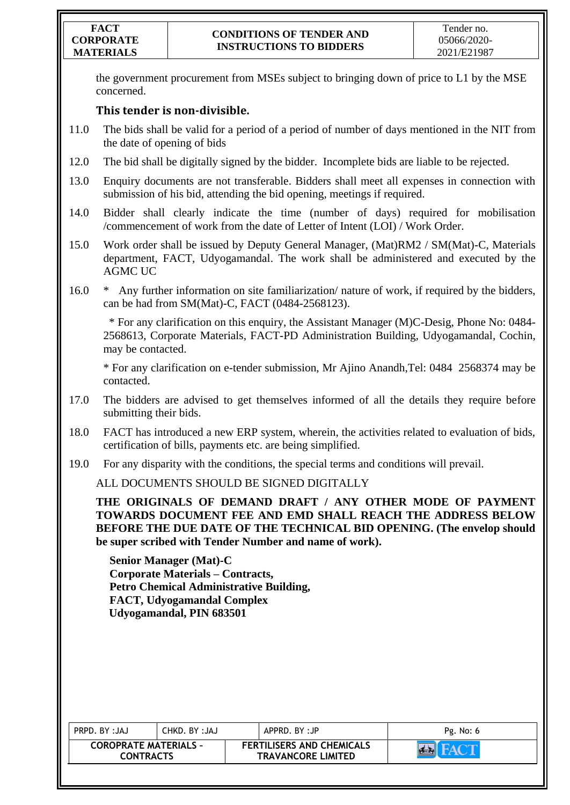the government procurement from MSEs subject to bringing down of price to L1 by the MSE concerned.

# **This tender is non-divisible.**

- 11.0 The bids shall be valid for a period of a period of number of days mentioned in the NIT from the date of opening of bids
- 12.0 The bid shall be digitally signed by the bidder. Incomplete bids are liable to be rejected.
- 13.0 Enquiry documents are not transferable. Bidders shall meet all expenses in connection with submission of his bid, attending the bid opening, meetings if required.
- 14.0 Bidder shall clearly indicate the time (number of days) required for mobilisation /commencement of work from the date of Letter of Intent (LOI) / Work Order.
- 15.0 Work order shall be issued by Deputy General Manager, (Mat)RM2 / SM(Mat)-C, Materials department, FACT, Udyogamandal. The work shall be administered and executed by the AGMC UC
- 16.0 \* Any further information on site familiarization/ nature of work, if required by the bidders, can be had from SM(Mat)-C, FACT (0484-2568123).

 \* For any clarification on this enquiry, the Assistant Manager (M)C-Desig, Phone No: 0484- 2568613, Corporate Materials, FACT-PD Administration Building, Udyogamandal, Cochin, may be contacted.

\* For any clarification on e-tender submission, Mr Ajino Anandh,Tel: 0484 2568374 may be contacted.

- 17.0 The bidders are advised to get themselves informed of all the details they require before submitting their bids.
- 18.0 FACT has introduced a new ERP system, wherein, the activities related to evaluation of bids, certification of bills, payments etc. are being simplified.
- 19.0 For any disparity with the conditions, the special terms and conditions will prevail.

ALL DOCUMENTS SHOULD BE SIGNED DIGITALLY

**THE ORIGINALS OF DEMAND DRAFT / ANY OTHER MODE OF PAYMENT TOWARDS DOCUMENT FEE AND EMD SHALL REACH THE ADDRESS BELOW BEFORE THE DUE DATE OF THE TECHNICAL BID OPENING. (The envelop should be super scribed with Tender Number and name of work).**

**Senior Manager (Mat)-C Corporate Materials – Contracts, Petro Chemical Administrative Building, FACT, Udyogamandal Complex Udyogamandal, PIN 683501**

| PRPD. BY: JAJ                                    | CHKD. BY :JAJ | APPRD. BY:JP                                                  | Pg. No: 6 |
|--------------------------------------------------|---------------|---------------------------------------------------------------|-----------|
| <b>COROPRATE MATERIALS -</b><br><b>CONTRACTS</b> |               | <b>FERTILISERS AND CHEMICALS</b><br><b>TRAVANCORE LIMITED</b> |           |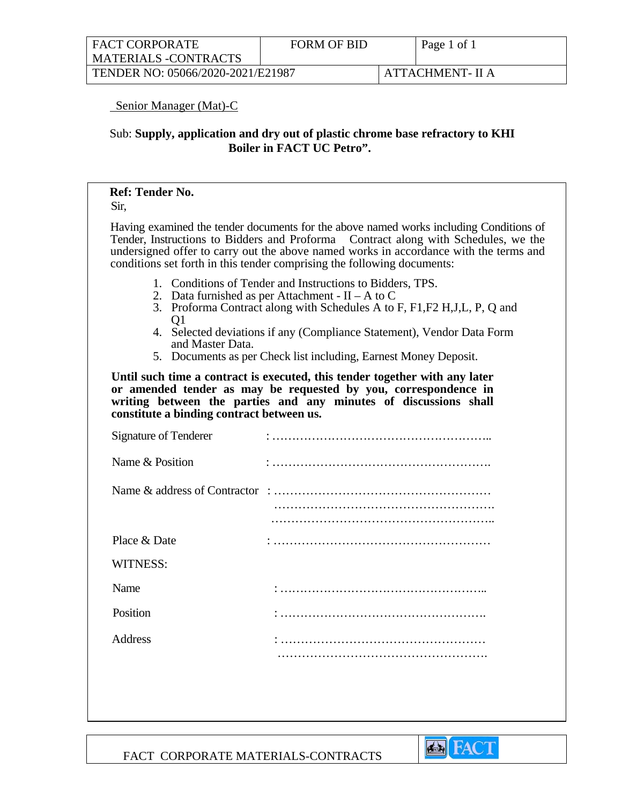| <b>FACT CORPORATE</b><br><b>FORM OF BID</b><br>  MATERIALS -CONTRACTS |  |  | Page 1 of 1      |
|-----------------------------------------------------------------------|--|--|------------------|
| TENDER NO: 05066/2020-2021/E21987                                     |  |  | ATTACHMENT- II A |

### Senior Manager (Mat)-C

## Sub: **Supply, application and dry out of plastic chrome base refractory to KHI Boiler in FACT UC Petro".**

#### **Ref: Tender No.**

Sir,

Having examined the tender documents for the above named works including Conditions of Tender, Instructions to Bidders and Proforma Contract along with Schedules, we the undersigned offer to carry out the above named works in accordance with the terms and conditions set forth in this tender comprising the following documents:

- 1. Conditions of Tender and Instructions to Bidders, TPS.
- 2. Data furnished as per Attachment  $II A$  to C
- 3. Proforma Contract along with Schedules A to F, F1,F2 H,J,L, P, Q and  $O<sub>1</sub>$
- 4. Selected deviations if any (Compliance Statement), Vendor Data Form and Master Data.
- 5. Documents as per Check list including, Earnest Money Deposit.

**Until such time a contract is executed, this tender together with any later or amended tender as may be requested by you, correspondence in writing between the parties and any minutes of discussions shall constitute a binding contract between us.** 

| <b>Signature of Tenderer</b> |  |
|------------------------------|--|
| Name & Position              |  |
|                              |  |
|                              |  |
|                              |  |
| Place & Date                 |  |
| <b>WITNESS:</b>              |  |
| Name                         |  |
| Position                     |  |
| Address                      |  |
|                              |  |
|                              |  |
|                              |  |

**Ex FACT** 

FACT CORPORATE MATERIALS-CONTRACTS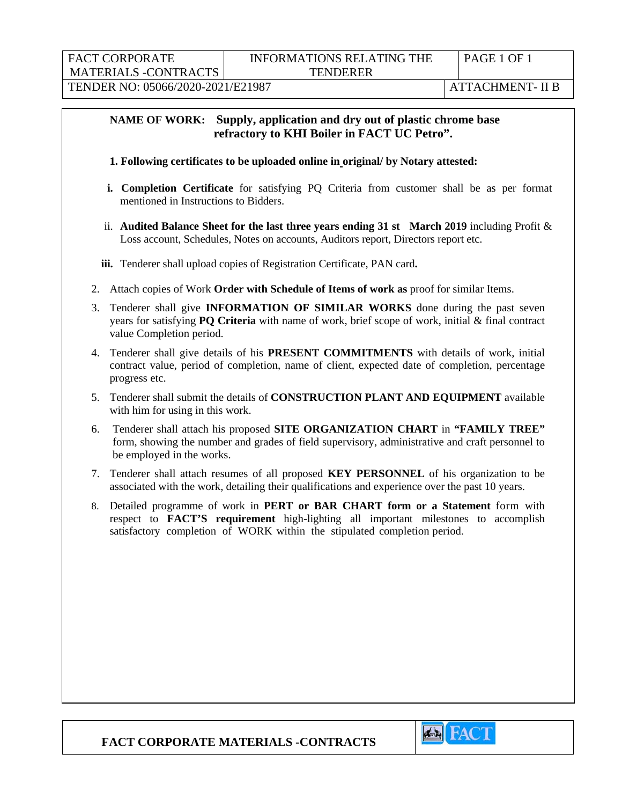# **NAME OF WORK: Supply, application and dry out of plastic chrome base refractory to KHI Boiler in FACT UC Petro".**

#### **1. Following certificates to be uploaded online in original/ by Notary attested:**

- **i. Completion Certificate** for satisfying PQ Criteria from customer shall be as per format mentioned in Instructions to Bidders.
- ii. **Audited Balance Sheet for the last three years ending 31 st March 2019** including Profit & Loss account, Schedules, Notes on accounts, Auditors report, Directors report etc.
- **iii.** Tenderer shall upload copies of Registration Certificate, PAN card**.**
- 2. Attach copies of Work **Order with Schedule of Items of work as** proof for similar Items.
- 3. Tenderer shall give **INFORMATION OF SIMILAR WORKS** done during the past seven years for satisfying **PQ Criteria** with name of work, brief scope of work, initial & final contract value Completion period.
- 4. Tenderer shall give details of his **PRESENT COMMITMENTS** with details of work, initial contract value, period of completion, name of client, expected date of completion, percentage progress etc.
- 5. Tenderer shall submit the details of **CONSTRUCTION PLANT AND EQUIPMENT** available with him for using in this work.
- 6. Tenderer shall attach his proposed **SITE ORGANIZATION CHART** in **"FAMILY TREE"** form, showing the number and grades of field supervisory, administrative and craft personnel to be employed in the works.
- 7. Tenderer shall attach resumes of all proposed **KEY PERSONNEL** of his organization to be associated with the work, detailing their qualifications and experience over the past 10 years.
- 8. Detailed programme of work in **PERT or BAR CHART form or a Statement** form with respect to **FACT'S requirement** high-lighting all important milestones to accomplish satisfactory completion of WORK within the stipulated completion period.